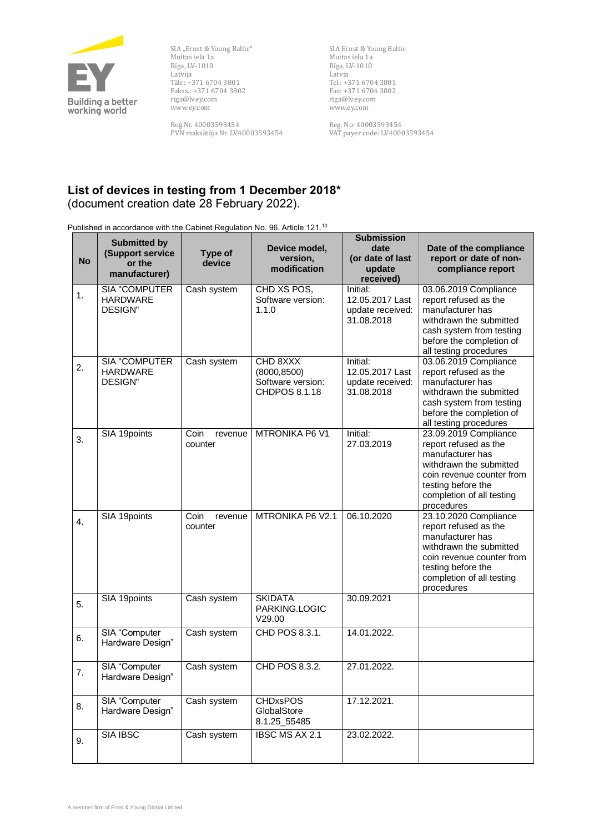

SIA "Ernst & Young Baltic" Muitas iela 1a Rīga, LV-1010 Latvija Tālr.: +371 6704 3801 Fakss.: +371 6704 3802 riga@lv.ey.com www.ey.com

Reg.Nr. 40003593454 PVN maksātāja Nr. LV40003593454 SIA Ernst & Young Baltic Muitas iela 1a Rīga, LV-1010 Latvia Tel.: +371 6704 3801 Fax: +371 6704 3802 riga@lv.ey.com www.ey.com

Reg. No: 40003593454 VAT payer code: LV40003593454

## **List of devices in testing from 1 December 2018\*** (document creation date 28 February 2022).

Published in accordance with the Cabinet Regulation No. 96. Article 121.<sup>10</sup>

| <b>No</b>        | <b>Submitted by</b><br>(Support service<br>or the<br>manufacturer) | Type of<br>device          | Device model,<br>version,<br>modification                      | <b>Submission</b><br>date<br>(or date of last<br>update<br>received) | Date of the compliance<br>report or date of non-<br>compliance report                                                                                                                       |
|------------------|--------------------------------------------------------------------|----------------------------|----------------------------------------------------------------|----------------------------------------------------------------------|---------------------------------------------------------------------------------------------------------------------------------------------------------------------------------------------|
| 1.               | SIA "COMPUTER<br><b>HARDWARE</b><br><b>DESIGN"</b>                 | Cash system                | CHD XS POS,<br>Software version:<br>1.1.0                      | Initial:<br>12.05.2017 Last<br>update received:<br>31.08.2018        | 03.06.2019 Compliance<br>report refused as the<br>manufacturer has<br>withdrawn the submitted<br>cash system from testing<br>before the completion of<br>all testing procedures             |
| 2.               | SIA "COMPUTER<br><b>HARDWARE</b><br><b>DESIGN"</b>                 | Cash system                | CHD 8XXX<br>(8000, 8500)<br>Software version:<br>CHDPOS 8.1.18 | Initial:<br>12.05.2017 Last<br>update received:<br>31.08.2018        | 03.06.2019 Compliance<br>report refused as the<br>manufacturer has<br>withdrawn the submitted<br>cash system from testing<br>before the completion of<br>all testing procedures             |
| 3.               | SIA 19points                                                       | Coin<br>revenue<br>counter | <b>MTRONIKA P6 V1</b>                                          | Initial:<br>27.03.2019                                               | 23.09.2019 Compliance<br>report refused as the<br>manufacturer has<br>withdrawn the submitted<br>coin revenue counter from<br>testing before the<br>completion of all testing<br>procedures |
| $\overline{4}$ . | SIA 19points                                                       | Coin<br>revenue<br>counter | MTRONIKA P6 V2.1                                               | 06.10.2020                                                           | 23.10.2020 Compliance<br>report refused as the<br>manufacturer has<br>withdrawn the submitted<br>coin revenue counter from<br>testing before the<br>completion of all testing<br>procedures |
| 5.               | SIA 19points                                                       | Cash system                | <b>SKIDATA</b><br>PARKING.LOGIC<br>V29.00                      | 30.09.2021                                                           |                                                                                                                                                                                             |
| 6.               | SIA "Computer<br>Hardware Design"                                  | Cash system                | CHD POS 8.3.1.                                                 | 14.01.2022.                                                          |                                                                                                                                                                                             |
| 7.               | SIA "Computer<br>Hardware Design"                                  | Cash system                | CHD POS 8.3.2.                                                 | 27.01.2022.                                                          |                                                                                                                                                                                             |
| 8.               | SIA "Computer<br>Hardware Design"                                  | Cash system                | <b>CHDxsPOS</b><br>GlobalStore<br>8.1.25_55485                 | 17.12.2021.                                                          |                                                                                                                                                                                             |
| 9.               | <b>SIA IBSC</b>                                                    | Cash system                | <b>IBSC MS AX 2.1</b>                                          | 23.02.2022.                                                          |                                                                                                                                                                                             |